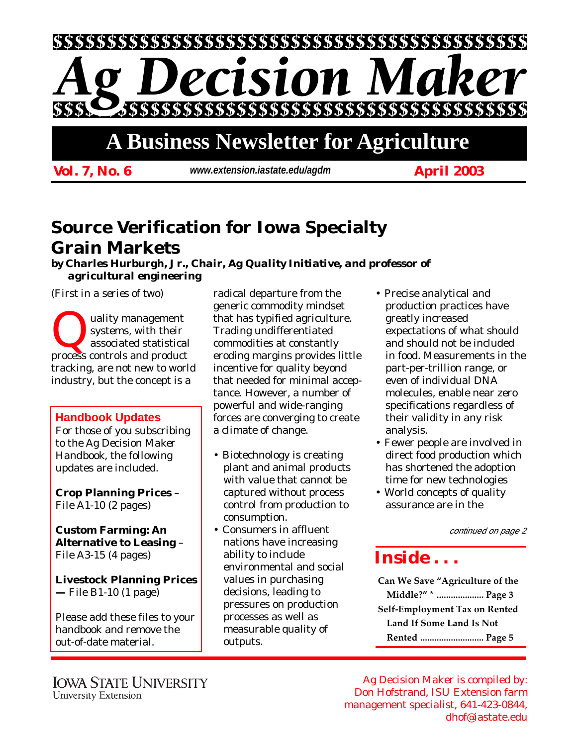

# **A Business Newsletter for Agriculture**

*Vol. 7, No. 6 April 2003 www.extension.iastate.edu/agdm*

## **Source Verification for Iowa Specialty Grain Markets**

*by Charles Hurburgh, Jr., Chair, Ag Quality Initiative, and professor of agricultural engineering*

*(First in a series of two)*

Quality management<br>
systems, with their<br>
process controls and product systems, with their associated statistical tracking, are not new to world industry, but the concept is a

### **Handbook Updates**

For those of you subscribing to the *Ag Decision Maker Handbook*, the following updates are included.

**Crop Planning Prices** – File A1-10 (2 pages)

**Custom Farming: An Alternative to Leasing** – File A3-15 (4 pages)

**Livestock Planning Prices —** File B1-10 (1 page)

Please add these files to your handbook and remove the out-of-date material.

radical departure from the generic commodity mindset that has typified agriculture. Trading undifferentiated commodities at constantly eroding margins provides little incentive for quality beyond that needed for minimal acceptance. However, a number of powerful and wide-ranging forces are converging to create a climate of change.

- Biotechnology is creating plant and animal products with value that cannot be captured without process control from production to consumption.
- Consumers in affluent nations have increasing ability to include environmental and social values in purchasing decisions, leading to pressures on production processes as well as measurable quality of outputs.
- Precise analytical and production practices have greatly increased expectations of what should and should not be included in food. Measurements in the part-per-trillion range, or even of individual DNA molecules, enable near zero specifications regardless of their validity in any risk analysis.
- Fewer people are involved in direct food production which has shortened the adoption time for new technologies
- World concepts of quality assurance are in the

continued on page 2

### *Inside . . .*

**Can We Save "Agriculture of the Middle?" \* .................... Page 3 Self-Employment Tax on Rented Land If Some Land Is Not Rented ........................... Page 5**

Ag Decision Maker is compiled by: Don Hofstrand, ISU Extension farm management specialist, 641-423-0844, dhof@iastate.edu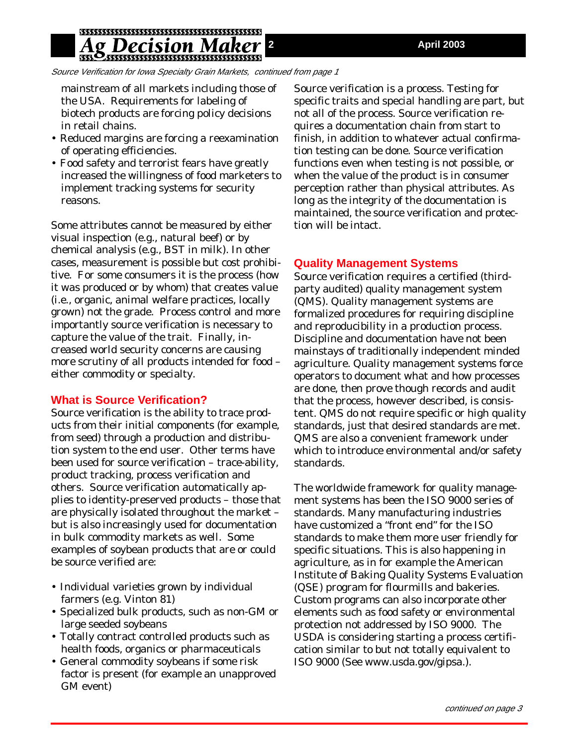Source Verification for Iowa Specialty Grain Markets, continued from page 1

mainstream of all markets including those of the USA. Requirements for labeling of biotech products are forcing policy decisions in retail chains.

- Reduced margins are forcing a reexamination of operating efficiencies.
- Food safety and terrorist fears have greatly increased the willingness of food marketers to implement tracking systems for security reasons.

Some attributes cannot be measured by either visual inspection (e.g., natural beef) or by chemical analysis (e.g., BST in milk). In other cases, measurement is possible but cost prohibitive. For some consumers it is the process (how it was produced or by whom) that creates value (i.e., organic, animal welfare practices, locally grown) not the grade. Process control and more importantly source verification is necessary to capture the value of the trait. Finally, increased world security concerns are causing more scrutiny of all products intended for food – either commodity or specialty.

#### **What is Source Verification?**

Source verification is the ability to trace products from their initial components (for example, from seed) through a production and distribution system to the end user. Other terms have been used for source verification – trace-ability, product tracking, process verification and others. Source verification automatically applies to identity-preserved products – those that are physically isolated throughout the market – but is also increasingly used for documentation in bulk commodity markets as well. Some examples of soybean products that are or could be source verified are:

- Individual varieties grown by individual farmers (e.g. Vinton 81)
- Specialized bulk products, such as non-GM or large seeded soybeans
- Totally contract controlled products such as health foods, organics or pharmaceuticals
- General commodity soybeans if some risk factor is present (for example an unapproved GM event)

Source verification is a process. Testing for specific traits and special handling are part, but not all of the process. Source verification requires a documentation chain from start to finish, in addition to whatever actual confirmation testing can be done. Source verification functions even when testing is not possible, or when the value of the product is in consumer perception rather than physical attributes. As long as the integrity of the documentation is maintained, the source verification and protection will be intact.

#### **Quality Management Systems**

Source verification requires a certified (thirdparty audited) quality management system (QMS). Quality management systems are formalized procedures for requiring discipline and reproducibility in a production process. Discipline and documentation have not been mainstays of traditionally independent minded agriculture. Quality management systems force operators to document what and how processes are done, then prove though records and audit that the process, however described, is consistent. QMS do not require specific or high quality standards, just that desired standards are met. QMS are also a convenient framework under which to introduce environmental and/or safety standards.

The worldwide framework for quality management systems has been the ISO 9000 series of standards. Many manufacturing industries have customized a "front end" for the ISO standards to make them more user friendly for specific situations. This is also happening in agriculture, as in for example the American Institute of Baking Quality Systems Evaluation (QSE) program for flourmills and bakeries. Custom programs can also incorporate other elements such as food safety or environmental protection not addressed by ISO 9000. The USDA is considering starting a process certification similar to but not totally equivalent to ISO 9000 (See www.usda.gov/gipsa.).